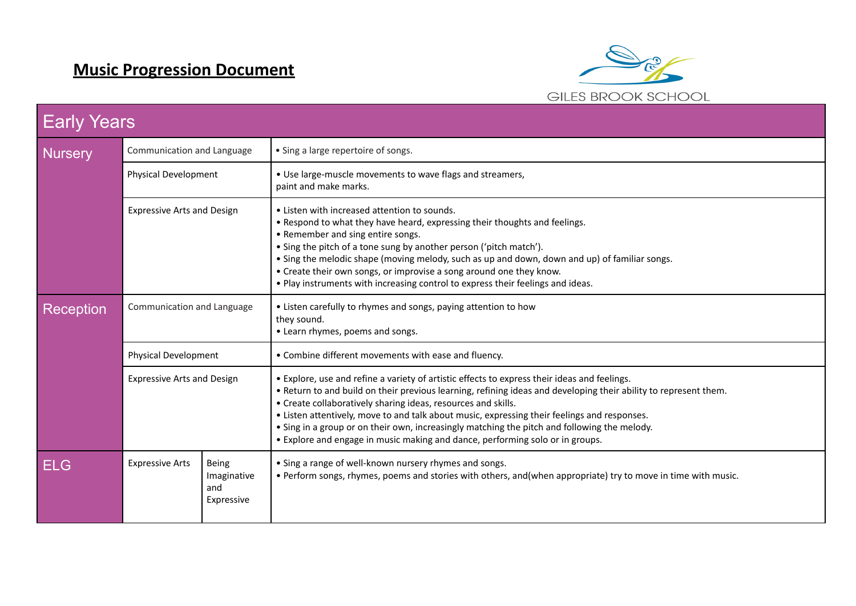## **Music Progression Document**



| <b>Early Years</b> |                                   |                                           |                                                                                                                                                                                                                                                                                                                                                                                                                                                                                                                                                                    |  |  |  |
|--------------------|-----------------------------------|-------------------------------------------|--------------------------------------------------------------------------------------------------------------------------------------------------------------------------------------------------------------------------------------------------------------------------------------------------------------------------------------------------------------------------------------------------------------------------------------------------------------------------------------------------------------------------------------------------------------------|--|--|--|
| <b>Nursery</b>     | Communication and Language        |                                           | • Sing a large repertoire of songs.                                                                                                                                                                                                                                                                                                                                                                                                                                                                                                                                |  |  |  |
|                    | <b>Physical Development</b>       |                                           | • Use large-muscle movements to wave flags and streamers,<br>paint and make marks.                                                                                                                                                                                                                                                                                                                                                                                                                                                                                 |  |  |  |
|                    | <b>Expressive Arts and Design</b> |                                           | • Listen with increased attention to sounds.<br>. Respond to what they have heard, expressing their thoughts and feelings.<br>• Remember and sing entire songs.<br>• Sing the pitch of a tone sung by another person ('pitch match').<br>• Sing the melodic shape (moving melody, such as up and down, down and up) of familiar songs.<br>• Create their own songs, or improvise a song around one they know.<br>. Play instruments with increasing control to express their feelings and ideas.                                                                   |  |  |  |
| Reception          | Communication and Language        |                                           | • Listen carefully to rhymes and songs, paying attention to how<br>they sound.<br>• Learn rhymes, poems and songs.                                                                                                                                                                                                                                                                                                                                                                                                                                                 |  |  |  |
|                    | Physical Development              |                                           | • Combine different movements with ease and fluency.                                                                                                                                                                                                                                                                                                                                                                                                                                                                                                               |  |  |  |
|                    | <b>Expressive Arts and Design</b> |                                           | • Explore, use and refine a variety of artistic effects to express their ideas and feelings.<br>. Return to and build on their previous learning, refining ideas and developing their ability to represent them.<br>• Create collaboratively sharing ideas, resources and skills.<br>• Listen attentively, move to and talk about music, expressing their feelings and responses.<br>• Sing in a group or on their own, increasingly matching the pitch and following the melody.<br>• Explore and engage in music making and dance, performing solo or in groups. |  |  |  |
| <b>ELG</b>         | <b>Expressive Arts</b>            | Being<br>Imaginative<br>and<br>Expressive | • Sing a range of well-known nursery rhymes and songs.<br>• Perform songs, rhymes, poems and stories with others, and(when appropriate) try to move in time with music.                                                                                                                                                                                                                                                                                                                                                                                            |  |  |  |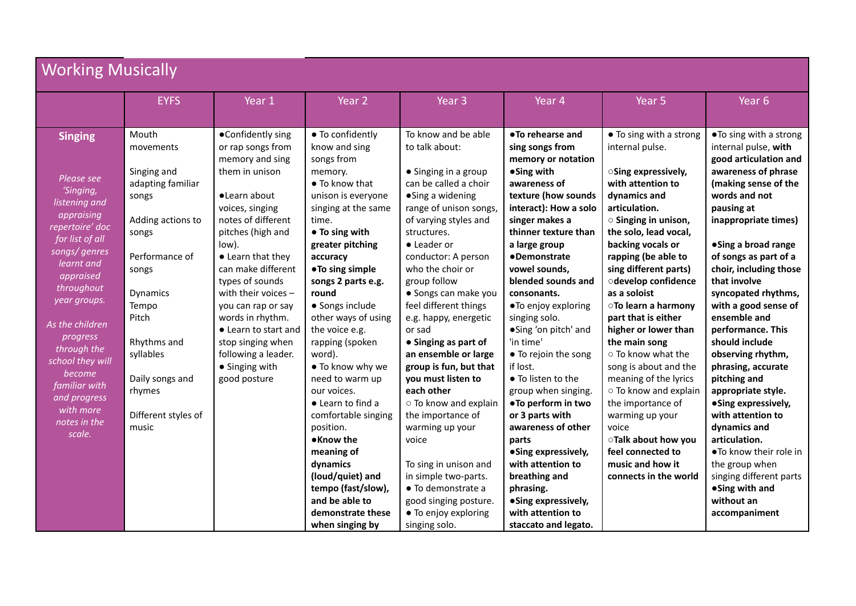| <b>Working Musically</b>                                                                                                                                                                                                                                                                                                                     |                                                                                                                                                                                                                                                        |                                                                                                                                                                                                                                                                                                                                                                                                           |                                                                                                                                                                                                                                                                                                                                                                                                                                                                                                                                                                         |                                                                                                                                                                                                                                                                                                                                                                                                                                                                                                                                                                                                                                                            |                                                                                                                                                                                                                                                                                                                                                                                                                                                                                                                                                                                                                                      |                                                                                                                                                                                                                                                                                                                                                                                                                                                                                                                                                                                                                                                |                                                                                                                                                                                                                                                                                                                                                                                                                                                                                                                                                                                                                                                                        |  |  |
|----------------------------------------------------------------------------------------------------------------------------------------------------------------------------------------------------------------------------------------------------------------------------------------------------------------------------------------------|--------------------------------------------------------------------------------------------------------------------------------------------------------------------------------------------------------------------------------------------------------|-----------------------------------------------------------------------------------------------------------------------------------------------------------------------------------------------------------------------------------------------------------------------------------------------------------------------------------------------------------------------------------------------------------|-------------------------------------------------------------------------------------------------------------------------------------------------------------------------------------------------------------------------------------------------------------------------------------------------------------------------------------------------------------------------------------------------------------------------------------------------------------------------------------------------------------------------------------------------------------------------|------------------------------------------------------------------------------------------------------------------------------------------------------------------------------------------------------------------------------------------------------------------------------------------------------------------------------------------------------------------------------------------------------------------------------------------------------------------------------------------------------------------------------------------------------------------------------------------------------------------------------------------------------------|--------------------------------------------------------------------------------------------------------------------------------------------------------------------------------------------------------------------------------------------------------------------------------------------------------------------------------------------------------------------------------------------------------------------------------------------------------------------------------------------------------------------------------------------------------------------------------------------------------------------------------------|------------------------------------------------------------------------------------------------------------------------------------------------------------------------------------------------------------------------------------------------------------------------------------------------------------------------------------------------------------------------------------------------------------------------------------------------------------------------------------------------------------------------------------------------------------------------------------------------------------------------------------------------|------------------------------------------------------------------------------------------------------------------------------------------------------------------------------------------------------------------------------------------------------------------------------------------------------------------------------------------------------------------------------------------------------------------------------------------------------------------------------------------------------------------------------------------------------------------------------------------------------------------------------------------------------------------------|--|--|
|                                                                                                                                                                                                                                                                                                                                              | <b>EYFS</b>                                                                                                                                                                                                                                            | Year 1                                                                                                                                                                                                                                                                                                                                                                                                    | Year 2                                                                                                                                                                                                                                                                                                                                                                                                                                                                                                                                                                  | Year <sub>3</sub>                                                                                                                                                                                                                                                                                                                                                                                                                                                                                                                                                                                                                                          | Year 4                                                                                                                                                                                                                                                                                                                                                                                                                                                                                                                                                                                                                               | Year 5                                                                                                                                                                                                                                                                                                                                                                                                                                                                                                                                                                                                                                         | Year 6                                                                                                                                                                                                                                                                                                                                                                                                                                                                                                                                                                                                                                                                 |  |  |
|                                                                                                                                                                                                                                                                                                                                              |                                                                                                                                                                                                                                                        |                                                                                                                                                                                                                                                                                                                                                                                                           |                                                                                                                                                                                                                                                                                                                                                                                                                                                                                                                                                                         |                                                                                                                                                                                                                                                                                                                                                                                                                                                                                                                                                                                                                                                            |                                                                                                                                                                                                                                                                                                                                                                                                                                                                                                                                                                                                                                      |                                                                                                                                                                                                                                                                                                                                                                                                                                                                                                                                                                                                                                                |                                                                                                                                                                                                                                                                                                                                                                                                                                                                                                                                                                                                                                                                        |  |  |
| <b>Singing</b><br>Please see<br>'Singing,<br>listening and<br>appraising<br>repertoire' doc<br>for list of all<br>songs/ genres<br>learnt and<br>appraised<br>throughout<br>year groups.<br>As the children<br>progress<br>through the<br>school they will<br>become<br>familiar with<br>and progress<br>with more<br>notes in the<br>scale. | Mouth<br>movements<br>Singing and<br>adapting familiar<br>songs<br>Adding actions to<br>songs<br>Performance of<br>songs<br><b>Dynamics</b><br>Tempo<br>Pitch<br>Rhythms and<br>syllables<br>Daily songs and<br>rhymes<br>Different styles of<br>music | •Confidently sing<br>or rap songs from<br>memory and sing<br>them in unison<br>•Learn about<br>voices, singing<br>notes of different<br>pitches (high and<br>low).<br>• Learn that they<br>can make different<br>types of sounds<br>with their voices $-$<br>you can rap or say<br>words in rhythm.<br>• Learn to start and<br>stop singing when<br>following a leader.<br>• Singing with<br>good posture | • To confidently<br>know and sing<br>songs from<br>memory.<br>• To know that<br>unison is everyone<br>singing at the same<br>time.<br>• To sing with<br>greater pitching<br>accuracy<br>• To sing simple<br>songs 2 parts e.g.<br>round<br>• Songs include<br>other ways of using<br>the voice e.g.<br>rapping (spoken<br>word).<br>• To know why we<br>need to warm up<br>our voices.<br>• Learn to find a<br>comfortable singing<br>position.<br>•Know the<br>meaning of<br>dynamics<br>(loud/quiet) and<br>tempo (fast/slow),<br>and be able to<br>demonstrate these | To know and be able<br>to talk about:<br>• Singing in a group<br>can be called a choir<br>•Sing a widening<br>range of unison songs,<br>of varying styles and<br>structures.<br>• Leader or<br>conductor: A person<br>who the choir or<br>group follow<br>• Songs can make you<br>feel different things<br>e.g. happy, energetic<br>or sad<br>• Singing as part of<br>an ensemble or large<br>group is fun, but that<br>you must listen to<br>each other<br>o To know and explain<br>the importance of<br>warming up your<br>voice<br>To sing in unison and<br>in simple two-parts.<br>· To demonstrate a<br>good singing posture.<br>• To enjoy exploring | •To rehearse and<br>sing songs from<br>memory or notation<br>•Sing with<br>awareness of<br>texture (how sounds<br>interact): How a solo<br>singer makes a<br>thinner texture than<br>a large group<br>·Demonstrate<br>vowel sounds,<br>blended sounds and<br>consonants.<br>.To enjoy exploring<br>singing solo.<br>·Sing 'on pitch' and<br>'in time'<br>• To rejoin the song<br>if lost.<br>• To listen to the<br>group when singing.<br>•To perform in two<br>or 3 parts with<br>awareness of other<br>parts<br>·Sing expressively,<br>with attention to<br>breathing and<br>phrasing.<br>·Sing expressively,<br>with attention to | • To sing with a strong<br>internal pulse.<br><b>Sing expressively,</b><br>with attention to<br>dynamics and<br>articulation.<br>$\circ$ Singing in unison,<br>the solo, lead vocal,<br>backing vocals or<br>rapping (be able to<br>sing different parts)<br>odevelop confidence<br>as a soloist<br><b>To learn a harmony</b><br>part that is either<br>higher or lower than<br>the main song<br>o To know what the<br>song is about and the<br>meaning of the lyrics<br>o To know and explain<br>the importance of<br>warming up your<br>voice<br><b>Talk about how you</b><br>feel connected to<br>music and how it<br>connects in the world | ● To sing with a strong<br>internal pulse, with<br>good articulation and<br>awareness of phrase<br>(making sense of the<br>words and not<br>pausing at<br>inappropriate times)<br>• Sing a broad range<br>of songs as part of a<br>choir, including those<br>that involve<br>syncopated rhythms,<br>with a good sense of<br>ensemble and<br>performance. This<br>should include<br>observing rhythm,<br>phrasing, accurate<br>pitching and<br>appropriate style.<br>·Sing expressively,<br>with attention to<br>dynamics and<br>articulation.<br>. To know their role in<br>the group when<br>singing different parts<br>•Sing with and<br>without an<br>accompaniment |  |  |
|                                                                                                                                                                                                                                                                                                                                              |                                                                                                                                                                                                                                                        |                                                                                                                                                                                                                                                                                                                                                                                                           | when singing by                                                                                                                                                                                                                                                                                                                                                                                                                                                                                                                                                         | singing solo.                                                                                                                                                                                                                                                                                                                                                                                                                                                                                                                                                                                                                                              | staccato and legato.                                                                                                                                                                                                                                                                                                                                                                                                                                                                                                                                                                                                                 |                                                                                                                                                                                                                                                                                                                                                                                                                                                                                                                                                                                                                                                |                                                                                                                                                                                                                                                                                                                                                                                                                                                                                                                                                                                                                                                                        |  |  |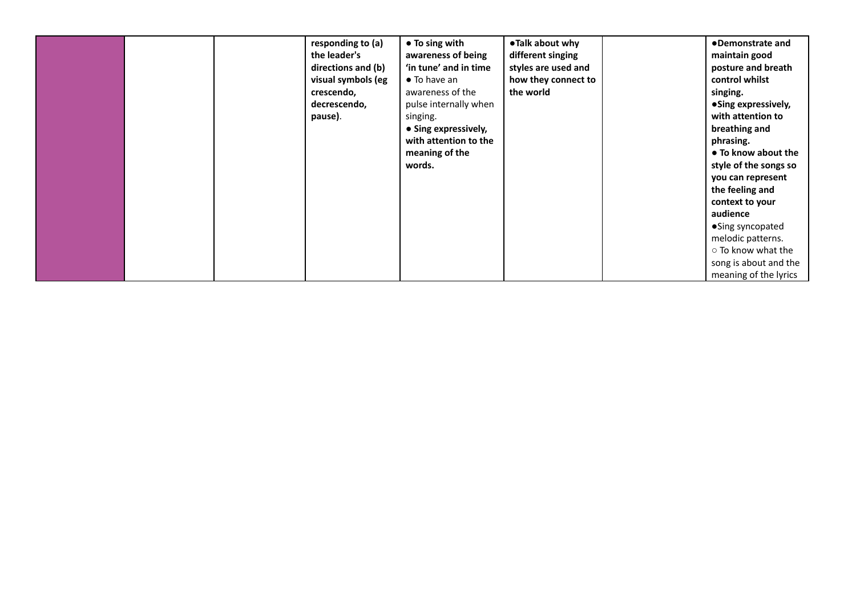|  |  |  | responding to (a)<br>the leader's<br>directions and (b)<br>visual symbols (eg<br>crescendo,<br>decrescendo,<br>pause). | • To sing with<br>awareness of being<br>'in tune' and in time<br>$\bullet$ To have an<br>awareness of the<br>pulse internally when<br>singing.<br>• Sing expressively,<br>with attention to the<br>meaning of the<br>words. | •Talk about why<br>different singing<br>styles are used and<br>how they connect to<br>the world |  | •Demonstrate and<br>maintain good<br>posture and breath<br>control whilst<br>singing.<br>·Sing expressively,<br>with attention to<br>breathing and<br>phrasing.<br>• To know about the<br>style of the songs so<br>you can represent<br>the feeling and<br>context to your<br>audience<br>•Sing syncopated<br>melodic patterns.<br>○ To know what the<br>song is about and the<br>meaning of the lyrics |
|--|--|--|------------------------------------------------------------------------------------------------------------------------|-----------------------------------------------------------------------------------------------------------------------------------------------------------------------------------------------------------------------------|-------------------------------------------------------------------------------------------------|--|---------------------------------------------------------------------------------------------------------------------------------------------------------------------------------------------------------------------------------------------------------------------------------------------------------------------------------------------------------------------------------------------------------|
|--|--|--|------------------------------------------------------------------------------------------------------------------------|-----------------------------------------------------------------------------------------------------------------------------------------------------------------------------------------------------------------------------|-------------------------------------------------------------------------------------------------|--|---------------------------------------------------------------------------------------------------------------------------------------------------------------------------------------------------------------------------------------------------------------------------------------------------------------------------------------------------------------------------------------------------------|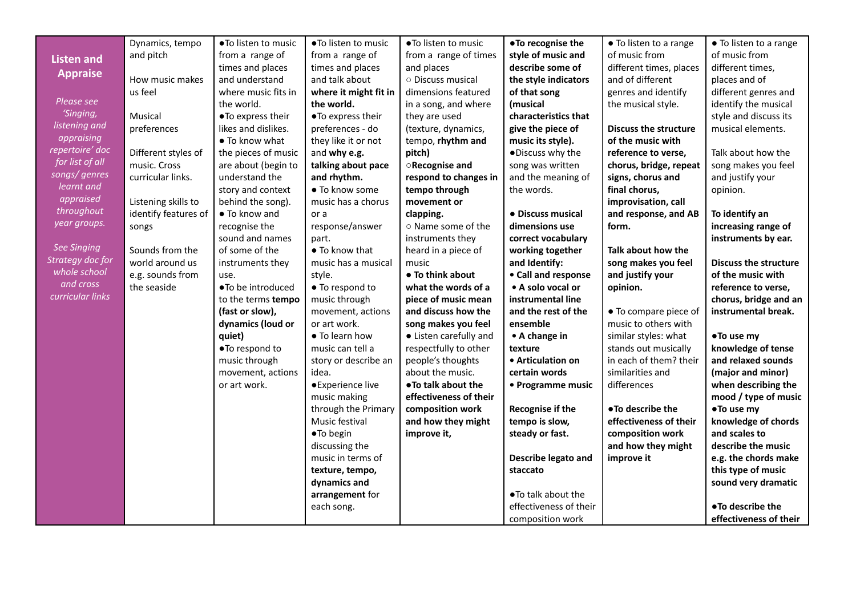|                    | Dynamics, tempo      | . To listen to music | ● To listen to music  | . To listen to music   | . To recognise the     | • To listen to a range       | • To listen to a range       |
|--------------------|----------------------|----------------------|-----------------------|------------------------|------------------------|------------------------------|------------------------------|
| <b>Listen and</b>  | and pitch            | from a range of      | from a range of       | from a range of times  | style of music and     | of music from                | of music from                |
|                    |                      | times and places     | times and places      | and places             | describe some of       | different times, places      | different times,             |
| <b>Appraise</b>    | How music makes      | and understand       | and talk about        | o Discuss musical      | the style indicators   | and of different             | places and of                |
|                    | us feel              | where music fits in  | where it might fit in | dimensions featured    | of that song           | genres and identify          | different genres and         |
| Please see         |                      | the world.           | the world.            | in a song, and where   | (musical               | the musical style.           | identify the musical         |
| 'Singing,          | Musical              | •To express their    | •To express their     | they are used          | characteristics that   |                              | style and discuss its        |
| listening and      | preferences          | likes and dislikes.  | preferences - do      | (texture, dynamics,    | give the piece of      | <b>Discuss the structure</b> | musical elements.            |
| appraising         |                      | • To know what       | they like it or not   | tempo, rhythm and      | music its style).      | of the music with            |                              |
| repertoire' doc    | Different styles of  | the pieces of music  | and why e.g.          | pitch)                 | ·Discuss why the       | reference to verse,          | Talk about how the           |
| for list of all    | music. Cross         | are about (begin to  | talking about pace    | <b>ORecognise and</b>  | song was written       | chorus, bridge, repeat       | song makes you feel          |
| songs/genres       | curricular links.    | understand the       | and rhythm.           | respond to changes in  | and the meaning of     | signs, chorus and            | and justify your             |
| learnt and         |                      | story and context    | • To know some        | tempo through          | the words.             | final chorus,                | opinion.                     |
| appraised          | Listening skills to  | behind the song).    | music has a chorus    | movement or            |                        | improvisation, call          |                              |
| throughout         | identify features of | • To know and        | or a                  | clapping.              | • Discuss musical      | and response, and AB         | To identify an               |
| year groups.       | songs                | recognise the        | response/answer       | o Name some of the     | dimensions use         | form.                        | increasing range of          |
|                    |                      | sound and names      | part.                 | instruments they       | correct vocabulary     |                              | instruments by ear.          |
| <b>See Singing</b> | Sounds from the      | of some of the       | • To know that        | heard in a piece of    | working together       | Talk about how the           |                              |
| Strategy doc for   | world around us      | instruments they     | music has a musical   | music                  | and Identify:          | song makes you feel          | <b>Discuss the structure</b> |
| whole school       | e.g. sounds from     | use.                 | style.                | • To think about       | • Call and response    | and justify your             | of the music with            |
| and cross          | the seaside          | •To be introduced    | • To respond to       | what the words of a    | • A solo vocal or      | opinion.                     | reference to verse,          |
| curricular links   |                      | to the terms tempo   | music through         | piece of music mean    | instrumental line      |                              | chorus, bridge and an        |
|                    |                      | (fast or slow),      | movement, actions     | and discuss how the    | and the rest of the    | • To compare piece of        | instrumental break.          |
|                    |                      | dynamics (loud or    | or art work.          | song makes you feel    | ensemble               | music to others with         |                              |
|                    |                      | quiet)               | • To learn how        | • Listen carefully and | • A change in          | similar styles: what         | • To use my                  |
|                    |                      | ● To respond to      | music can tell a      | respectfully to other  | texture                | stands out musically         | knowledge of tense           |
|                    |                      | music through        | story or describe an  | people's thoughts      | • Articulation on      | in each of them? their       | and relaxed sounds           |
|                    |                      | movement, actions    | idea.                 | about the music.       | certain words          | similarities and             | (major and minor)            |
|                    |                      | or art work.         | • Experience live     | . To talk about the    | • Programme music      | differences                  | when describing the          |
|                    |                      |                      | music making          | effectiveness of their |                        |                              | mood / type of music         |
|                    |                      |                      | through the Primary   | composition work       | Recognise if the       | ● To describe the            | • To use my                  |
|                    |                      |                      | Music festival        | and how they might     | tempo is slow,         | effectiveness of their       | knowledge of chords          |
|                    |                      |                      | ·To begin             | improve it,            | steady or fast.        | composition work             | and scales to                |
|                    |                      |                      | discussing the        |                        |                        | and how they might           | describe the music           |
|                    |                      |                      | music in terms of     |                        | Describe legato and    | improve it                   | e.g. the chords make         |
|                    |                      |                      | texture, tempo,       |                        | staccato               |                              | this type of music           |
|                    |                      |                      | dynamics and          |                        |                        |                              | sound very dramatic          |
|                    |                      |                      | arrangement for       |                        | . To talk about the    |                              |                              |
|                    |                      |                      | each song.            |                        | effectiveness of their |                              | ● To describe the            |
|                    |                      |                      |                       |                        | composition work       |                              | effectiveness of their       |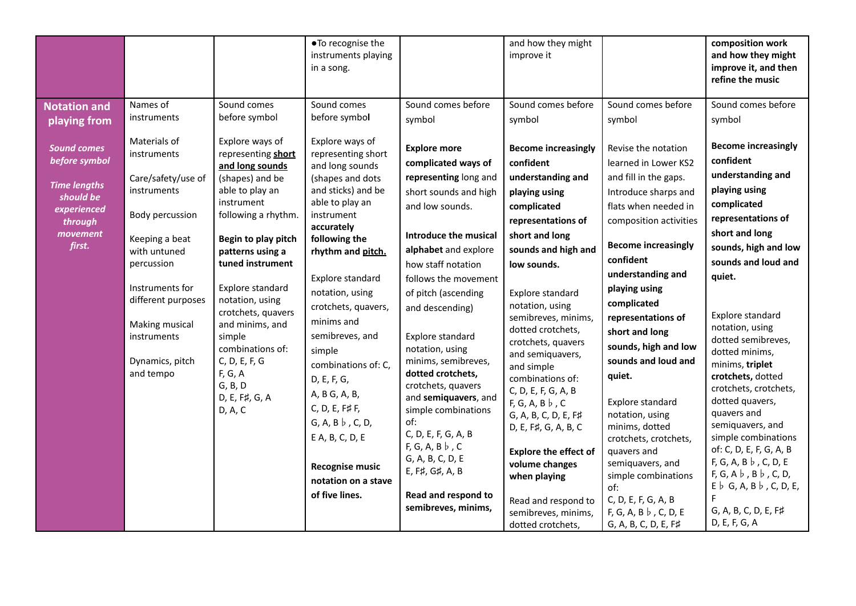|                                                                                                                         |                                                                                                                                                                                                                                                      |                                                                                                                                                                                                                                                                                                                                                                                      | . To recognise the<br>instruments playing<br>in a song.                                                                                                                                                                                                                                                                                                                                                                                                                                      |                                                                                                                                                                                                                                                                                                                                                                                                                                                                                                                                                               | and how they might<br>improve it                                                                                                                                                                                                                                                                                                                                                                                                                                                                                                    |                                                                                                                                                                                                                                                                                                                                                                                                                                                                                                                           | composition work<br>and how they might<br>improve it, and then<br>refine the music                                                                                                                                                                                                                                                                                                                                                                                                                                                                                                |
|-------------------------------------------------------------------------------------------------------------------------|------------------------------------------------------------------------------------------------------------------------------------------------------------------------------------------------------------------------------------------------------|--------------------------------------------------------------------------------------------------------------------------------------------------------------------------------------------------------------------------------------------------------------------------------------------------------------------------------------------------------------------------------------|----------------------------------------------------------------------------------------------------------------------------------------------------------------------------------------------------------------------------------------------------------------------------------------------------------------------------------------------------------------------------------------------------------------------------------------------------------------------------------------------|---------------------------------------------------------------------------------------------------------------------------------------------------------------------------------------------------------------------------------------------------------------------------------------------------------------------------------------------------------------------------------------------------------------------------------------------------------------------------------------------------------------------------------------------------------------|-------------------------------------------------------------------------------------------------------------------------------------------------------------------------------------------------------------------------------------------------------------------------------------------------------------------------------------------------------------------------------------------------------------------------------------------------------------------------------------------------------------------------------------|---------------------------------------------------------------------------------------------------------------------------------------------------------------------------------------------------------------------------------------------------------------------------------------------------------------------------------------------------------------------------------------------------------------------------------------------------------------------------------------------------------------------------|-----------------------------------------------------------------------------------------------------------------------------------------------------------------------------------------------------------------------------------------------------------------------------------------------------------------------------------------------------------------------------------------------------------------------------------------------------------------------------------------------------------------------------------------------------------------------------------|
| <b>Notation and</b>                                                                                                     | Names of                                                                                                                                                                                                                                             | Sound comes                                                                                                                                                                                                                                                                                                                                                                          | Sound comes                                                                                                                                                                                                                                                                                                                                                                                                                                                                                  | Sound comes before                                                                                                                                                                                                                                                                                                                                                                                                                                                                                                                                            | Sound comes before                                                                                                                                                                                                                                                                                                                                                                                                                                                                                                                  | Sound comes before                                                                                                                                                                                                                                                                                                                                                                                                                                                                                                        | Sound comes before                                                                                                                                                                                                                                                                                                                                                                                                                                                                                                                                                                |
| playing from                                                                                                            | instruments                                                                                                                                                                                                                                          | before symbol                                                                                                                                                                                                                                                                                                                                                                        | before symbol                                                                                                                                                                                                                                                                                                                                                                                                                                                                                | symbol                                                                                                                                                                                                                                                                                                                                                                                                                                                                                                                                                        | symbol                                                                                                                                                                                                                                                                                                                                                                                                                                                                                                                              | symbol                                                                                                                                                                                                                                                                                                                                                                                                                                                                                                                    | symbol                                                                                                                                                                                                                                                                                                                                                                                                                                                                                                                                                                            |
| <b>Sound comes</b><br>before symbol<br><b>Time lengths</b><br>should be<br>experienced<br>through<br>movement<br>first. | Materials of<br>instruments<br>Care/safety/use of<br><i>instruments</i><br>Body percussion<br>Keeping a beat<br>with untuned<br>percussion<br>Instruments for<br>different purposes<br>Making musical<br>instruments<br>Dynamics, pitch<br>and tempo | Explore ways of<br>representing short<br>and long sounds<br>(shapes) and be<br>able to play an<br>instrument<br>following a rhythm.<br>Begin to play pitch<br>patterns using a<br>tuned instrument<br>Explore standard<br>notation, using<br>crotchets, quavers<br>and minims, and<br>simple<br>combinations of:<br>C, D, E, F, G<br>F, G, A<br>G, B, D<br>D, E, F#, G, A<br>D, A, C | Explore ways of<br>representing short<br>and long sounds<br>(shapes and dots<br>and sticks) and be<br>able to play an<br>instrument<br>accurately<br>following the<br>rhythm and pitch.<br>Explore standard<br>notation, using<br>crotchets, quavers,<br>minims and<br>semibreves, and<br>simple<br>combinations of: C,<br>D, E, F, G,<br>A, B G, A, B,<br>C, D, E, $F# F$ ,<br>$G, A, B \flat, C, D,$<br>E A, B, C, D, E<br><b>Recognise music</b><br>notation on a stave<br>of five lines. | <b>Explore more</b><br>complicated ways of<br>representing long and<br>short sounds and high<br>and low sounds.<br>Introduce the musical<br>alphabet and explore<br>how staff notation<br>follows the movement<br>of pitch (ascending<br>and descending)<br>Explore standard<br>notation, using<br>minims, semibreves,<br>dotted crotchets,<br>crotchets, quavers<br>and semiquavers, and<br>simple combinations<br>of:<br>C, D, E, F, G, A, B<br>F, G, A, B $\flat$ , C<br>G, A, B, C, D, E<br>E, F#, G#, A, B<br>Read and respond to<br>semibreves, minims, | <b>Become increasingly</b><br>confident<br>understanding and<br>playing using<br>complicated<br>representations of<br>short and long<br>sounds and high and<br>low sounds.<br>Explore standard<br>notation, using<br>semibreves, minims,<br>dotted crotchets,<br>crotchets, quavers<br>and semiquavers,<br>and simple<br>combinations of:<br>C, D, E, F, G, A, B<br>F, G, A, B $\flat$ , C<br>G, A, B, C, D, E, F#<br>D, E, F#, G, A, B, C<br><b>Explore the effect of</b><br>volume changes<br>when playing<br>Read and respond to | Revise the notation<br>learned in Lower KS2<br>and fill in the gaps.<br>Introduce sharps and<br>flats when needed in<br>composition activities<br><b>Become increasingly</b><br>confident<br>understanding and<br>playing using<br>complicated<br>representations of<br>short and long<br>sounds, high and low<br>sounds and loud and<br>quiet.<br>Explore standard<br>notation, using<br>minims, dotted<br>crotchets, crotchets,<br>quavers and<br>semiquavers, and<br>simple combinations<br>of:<br>C, D, E, F, G, A, B | <b>Become increasingly</b><br>confident<br>understanding and<br>playing using<br>complicated<br>representations of<br>short and long<br>sounds, high and low<br>sounds and loud and<br>quiet.<br>Explore standard<br>notation, using<br>dotted semibreves,<br>dotted minims,<br>minims, triplet<br>crotchets, dotted<br>crotchets, crotchets,<br>dotted quavers,<br>quavers and<br>semiquavers, and<br>simple combinations<br>of: C, D, E, F, G, A, B<br>F, G, A, B $\flat$ , C, D, E<br>F, G, A $\flat$ , B $\flat$ , C, D,<br>$E \, \flat \, G$ , A, B $\flat$ , C, D, E,<br>F. |
|                                                                                                                         |                                                                                                                                                                                                                                                      |                                                                                                                                                                                                                                                                                                                                                                                      |                                                                                                                                                                                                                                                                                                                                                                                                                                                                                              |                                                                                                                                                                                                                                                                                                                                                                                                                                                                                                                                                               | semibreves, minims,<br>dotted crotchets,                                                                                                                                                                                                                                                                                                                                                                                                                                                                                            | F, G, A, B $\flat$ , C, D, E<br>G, A, B, C, D, E, F#                                                                                                                                                                                                                                                                                                                                                                                                                                                                      | G, A, B, C, D, E, F#<br>D, E, F, G, A                                                                                                                                                                                                                                                                                                                                                                                                                                                                                                                                             |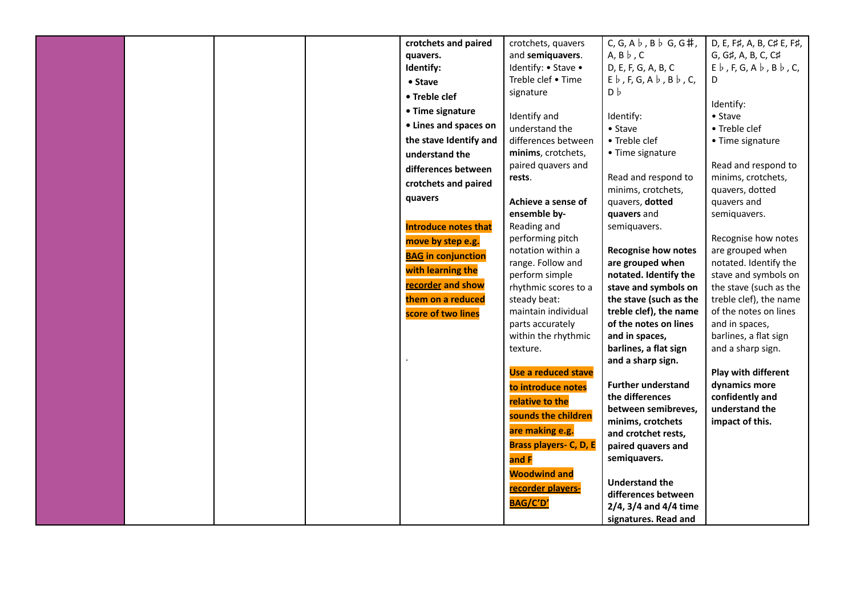|  |  | crotchets and paired        | crotchets, quavers         | $C, G, A \, b, B \, b, G, G \, \sharp,$ | D, E, F#, A, B, C# E, F#,        |
|--|--|-----------------------------|----------------------------|-----------------------------------------|----------------------------------|
|  |  | quavers.                    | and semiquavers.           | A, B, b, C                              | G, G#, A, B, C, C#               |
|  |  | Identify:                   | Identify: • Stave •        | D, E, F, G, A, B, C                     | $E b$ , F, G, A $b$ , B $b$ , C, |
|  |  | • Stave                     | Treble clef . Time         | $E b$ , F, G, A $b$ , B $b$ , C,        | D                                |
|  |  |                             | signature                  | D b                                     |                                  |
|  |  | • Treble clef               |                            |                                         | Identify:                        |
|  |  | • Time signature            | Identify and               | Identify:                               | • Stave                          |
|  |  | • Lines and spaces on       | understand the             | • Stave                                 | • Treble clef                    |
|  |  | the stave Identify and      | differences between        | • Treble clef                           | • Time signature                 |
|  |  | understand the              | minims, crotchets,         | • Time signature                        |                                  |
|  |  | differences between         | paired quavers and         |                                         | Read and respond to              |
|  |  |                             | rests.                     | Read and respond to                     | minims, crotchets,               |
|  |  | crotchets and paired        |                            | minims, crotchets,                      | quavers, dotted                  |
|  |  | quavers                     | Achieve a sense of         | quavers, dotted                         | quavers and                      |
|  |  |                             | ensemble by-               | quavers and                             | semiquavers.                     |
|  |  | <b>Introduce notes that</b> | Reading and                | semiquavers.                            |                                  |
|  |  | move by step e.g.           | performing pitch           |                                         | Recognise how notes              |
|  |  | <b>BAG</b> in conjunction   | notation within a          | <b>Recognise how notes</b>              | are grouped when                 |
|  |  |                             | range. Follow and          | are grouped when                        | notated. Identify the            |
|  |  | with learning the           | perform simple             | notated. Identify the                   | stave and symbols on             |
|  |  | recorder and show           | rhythmic scores to a       | stave and symbols on                    | the stave (such as the           |
|  |  | them on a reduced           | steady beat:               | the stave (such as the                  | treble clef), the name           |
|  |  | score of two lines          | maintain individual        | treble clef), the name                  | of the notes on lines            |
|  |  |                             | parts accurately           | of the notes on lines                   | and in spaces,                   |
|  |  |                             | within the rhythmic        | and in spaces,                          | barlines, a flat sign            |
|  |  |                             | texture.                   | barlines, a flat sign                   | and a sharp sign.                |
|  |  |                             |                            | and a sharp sign.                       |                                  |
|  |  |                             | <b>Use a reduced stave</b> |                                         | Play with different              |
|  |  |                             | to introduce notes         | <b>Further understand</b>               | dynamics more                    |
|  |  |                             | relative to the            | the differences                         | confidently and                  |
|  |  |                             | sounds the children        | between semibreves,                     | understand the                   |
|  |  |                             | are making e.g.            | minims, crotchets                       | impact of this.                  |
|  |  |                             |                            | and crotchet rests,                     |                                  |
|  |  |                             | Brass players- C, D, E     | paired quavers and                      |                                  |
|  |  |                             | and F                      | semiquavers.                            |                                  |
|  |  |                             | <b>Woodwind and</b>        | <b>Understand the</b>                   |                                  |
|  |  |                             | recorder players-          | differences between                     |                                  |
|  |  |                             | <b>BAG/C'D'</b>            | $2/4$ , $3/4$ and $4/4$ time            |                                  |
|  |  |                             |                            |                                         |                                  |
|  |  |                             |                            | signatures. Read and                    |                                  |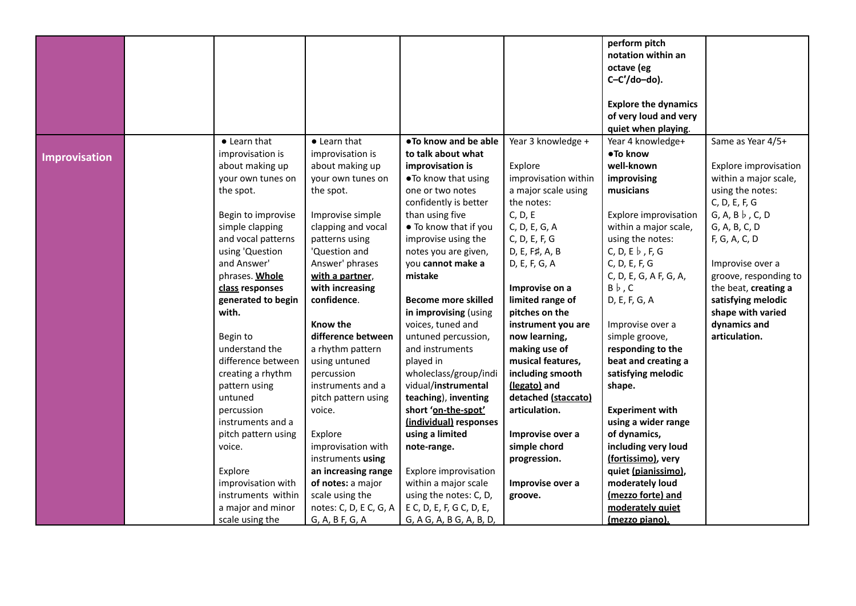|                      |                      |                        |                            |                      | perform pitch               |                       |
|----------------------|----------------------|------------------------|----------------------------|----------------------|-----------------------------|-----------------------|
|                      |                      |                        |                            |                      | notation within an          |                       |
|                      |                      |                        |                            |                      | octave (eg                  |                       |
|                      |                      |                        |                            |                      | $C-C'/do$ -do).             |                       |
|                      |                      |                        |                            |                      |                             |                       |
|                      |                      |                        |                            |                      | <b>Explore the dynamics</b> |                       |
|                      |                      |                        |                            |                      | of very loud and very       |                       |
|                      |                      |                        |                            |                      | quiet when playing.         |                       |
|                      | $\bullet$ Learn that | $\bullet$ Learn that   | ● To know and be able      | Year 3 knowledge +   | Year 4 knowledge+           | Same as Year 4/5+     |
| <b>Improvisation</b> | improvisation is     | improvisation is       | to talk about what         |                      | ● To know                   |                       |
|                      | about making up      | about making up        | improvisation is           | Explore              | well-known                  | Explore improvisation |
|                      | your own tunes on    | your own tunes on      | . To know that using       | improvisation within | improvising                 | within a major scale, |
|                      | the spot.            | the spot.              | one or two notes           | a major scale using  | musicians                   | using the notes:      |
|                      |                      |                        | confidently is better      | the notes:           |                             | C, D, E, F, G         |
|                      | Begin to improvise   | Improvise simple       | than using five            | C, D, E              | Explore improvisation       | $G, A, B \flat, C, D$ |
|                      | simple clapping      | clapping and vocal     | • To know that if you      | C, D, E, G, A        | within a major scale,       | G, A, B, C, D         |
|                      | and vocal patterns   | patterns using         | improvise using the        | C, D, E, F, G        | using the notes:            | F, G, A, C, D         |
|                      | using 'Question      | 'Question and          | notes you are given,       | D, E, F#, A, B       | C, D, E $\flat$ , F, G      |                       |
|                      | and Answer'          | Answer' phrases        | you cannot make a          | D, E, F, G, A        | C, D, E, F, G               | Improvise over a      |
|                      | phrases. Whole       | with a partner,        | mistake                    |                      | C, D, E, G, A F, G, A,      | groove, responding to |
|                      | class responses      | with increasing        |                            | Improvise on a       | $B\flat$ , C                | the beat, creating a  |
|                      | generated to begin   | confidence.            | <b>Become more skilled</b> | limited range of     | D, E, F, G, A               | satisfying melodic    |
|                      | with.                |                        | in improvising (using      | pitches on the       |                             | shape with varied     |
|                      |                      | Know the               | voices, tuned and          | instrument you are   | Improvise over a            | dynamics and          |
|                      | Begin to             | difference between     | untuned percussion,        | now learning,        | simple groove,              | articulation.         |
|                      | understand the       | a rhythm pattern       | and instruments            | making use of        | responding to the           |                       |
|                      | difference between   | using untuned          | played in                  | musical features,    | beat and creating a         |                       |
|                      | creating a rhythm    | percussion             | wholeclass/group/indi      | including smooth     | satisfying melodic          |                       |
|                      | pattern using        | instruments and a      | vidual/instrumental        | (legato) and         | shape.                      |                       |
|                      | untuned              | pitch pattern using    | teaching), inventing       | detached (staccato)  |                             |                       |
|                      | percussion           | voice.                 | short 'on-the-spot'        | articulation.        | <b>Experiment with</b>      |                       |
|                      | instruments and a    |                        | (individual) responses     |                      | using a wider range         |                       |
|                      | pitch pattern using  | Explore                | using a limited            | Improvise over a     | of dynamics,                |                       |
|                      | voice.               | improvisation with     | note-range.                | simple chord         | including very loud         |                       |
|                      |                      | instruments using      |                            | progression.         | (fortissimo), very          |                       |
|                      | Explore              | an increasing range    | Explore improvisation      |                      | quiet (pianissimo),         |                       |
|                      | improvisation with   | of notes: a major      | within a major scale       | Improvise over a     | moderately loud             |                       |
|                      | instruments within   | scale using the        | using the notes: C, D,     | groove.              | (mezzo forte) and           |                       |
|                      | a major and minor    | notes: C, D, E C, G, A | E C, D, E, F, G C, D, E,   |                      | moderately quiet            |                       |
|                      | scale using the      | G, A, B F, G, A        | G, A G, A, B G, A, B, D,   |                      | (mezzo piano).              |                       |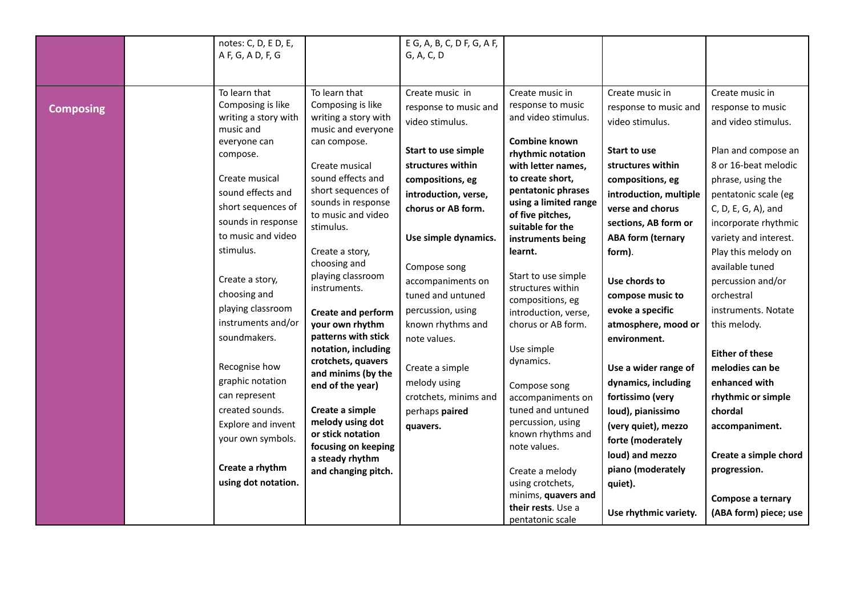|                  | notes: C, D, E D, E,<br>A F, G, A D, F, G |                                            | E G, A, B, C, D F, G, A F,<br>G, A, C, D |                                           |                          |                        |
|------------------|-------------------------------------------|--------------------------------------------|------------------------------------------|-------------------------------------------|--------------------------|------------------------|
|                  |                                           |                                            |                                          |                                           |                          |                        |
|                  | To learn that                             | To learn that                              | Create music in                          | Create music in                           | Create music in          | Create music in        |
| <b>Composing</b> | Composing is like                         | Composing is like                          | response to music and                    | response to music                         | response to music and    | response to music      |
|                  | writing a story with<br>music and         | writing a story with<br>music and everyone | video stimulus.                          | and video stimulus.                       | video stimulus.          | and video stimulus.    |
|                  | everyone can<br>compose.                  | can compose.                               | Start to use simple                      | <b>Combine known</b><br>rhythmic notation | <b>Start to use</b>      | Plan and compose an    |
|                  |                                           | Create musical                             | structures within                        | with letter names,                        | structures within        | 8 or 16-beat melodic   |
|                  | Create musical                            | sound effects and                          | compositions, eg                         | to create short,                          | compositions, eg         | phrase, using the      |
|                  | sound effects and                         | short sequences of                         | introduction, verse,                     | pentatonic phrases                        | introduction, multiple   | pentatonic scale (eg   |
|                  | short sequences of                        | sounds in response<br>to music and video   | chorus or AB form.                       | using a limited range<br>of five pitches, | verse and chorus         | C, D, E, G, A), and    |
|                  | sounds in response                        | stimulus.                                  |                                          | suitable for the                          | sections, AB form or     | incorporate rhythmic   |
|                  | to music and video                        |                                            | Use simple dynamics.                     | instruments being                         | <b>ABA form (ternary</b> | variety and interest.  |
|                  | stimulus.                                 | Create a story,                            |                                          | learnt.                                   | form).                   | Play this melody on    |
|                  |                                           | choosing and                               | Compose song                             |                                           |                          | available tuned        |
|                  | Create a story,                           | playing classroom<br>instruments.          | accompaniments on                        | Start to use simple<br>structures within  | Use chords to            | percussion and/or      |
|                  | choosing and                              |                                            | tuned and untuned                        | compositions, eg                          | compose music to         | orchestral             |
|                  | playing classroom                         | Create and perform                         | percussion, using                        | introduction, verse,                      | evoke a specific         | instruments. Notate    |
|                  | instruments and/or                        | your own rhythm                            | known rhythms and                        | chorus or AB form.                        | atmosphere, mood or      | this melody.           |
|                  | soundmakers.                              | patterns with stick                        | note values.                             |                                           | environment.             |                        |
|                  |                                           | notation, including                        |                                          | Use simple                                |                          | <b>Either of these</b> |
|                  | Recognise how                             | crotchets, quavers<br>and minims (by the   | Create a simple                          | dynamics.                                 | Use a wider range of     | melodies can be        |
|                  | graphic notation                          | end of the year)                           | melody using                             | Compose song                              | dynamics, including      | enhanced with          |
|                  | can represent                             |                                            | crotchets, minims and                    | accompaniments on                         | fortissimo (very         | rhythmic or simple     |
|                  | created sounds.                           | Create a simple                            | perhaps paired                           | tuned and untuned                         | loud), pianissimo        | chordal                |
|                  | Explore and invent                        | melody using dot                           | quavers.                                 | percussion, using                         | (very quiet), mezzo      | accompaniment.         |
|                  | your own symbols.                         | or stick notation<br>focusing on keeping   |                                          | known rhythms and<br>note values.         | forte (moderately        |                        |
|                  |                                           | a steady rhythm                            |                                          |                                           | loud) and mezzo          | Create a simple chord  |
|                  | Create a rhythm                           | and changing pitch.                        |                                          | Create a melody                           | piano (moderately        | progression.           |
|                  | using dot notation.                       |                                            |                                          | using crotchets,                          | quiet).                  |                        |
|                  |                                           |                                            |                                          | minims, quavers and                       |                          | Compose a ternary      |
|                  |                                           |                                            |                                          | their rests. Use a                        | Use rhythmic variety.    | (ABA form) piece; use  |
|                  |                                           |                                            |                                          | pentatonic scale                          |                          |                        |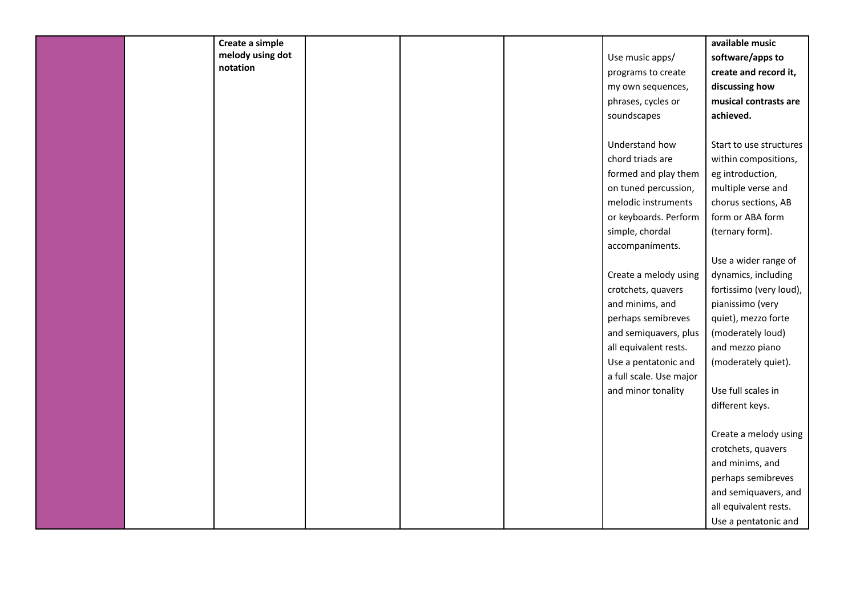|  | Create a simple  |  |                         | available music         |
|--|------------------|--|-------------------------|-------------------------|
|  | melody using dot |  | Use music apps/         | software/apps to        |
|  | notation         |  | programs to create      | create and record it,   |
|  |                  |  | my own sequences,       | discussing how          |
|  |                  |  | phrases, cycles or      | musical contrasts are   |
|  |                  |  | soundscapes             | achieved.               |
|  |                  |  |                         |                         |
|  |                  |  | Understand how          | Start to use structures |
|  |                  |  | chord triads are        | within compositions,    |
|  |                  |  | formed and play them    | eg introduction,        |
|  |                  |  | on tuned percussion,    | multiple verse and      |
|  |                  |  | melodic instruments     | chorus sections, AB     |
|  |                  |  | or keyboards. Perform   | form or ABA form        |
|  |                  |  | simple, chordal         | (ternary form).         |
|  |                  |  | accompaniments.         |                         |
|  |                  |  |                         | Use a wider range of    |
|  |                  |  | Create a melody using   | dynamics, including     |
|  |                  |  | crotchets, quavers      | fortissimo (very loud), |
|  |                  |  | and minims, and         | pianissimo (very        |
|  |                  |  | perhaps semibreves      | quiet), mezzo forte     |
|  |                  |  | and semiquavers, plus   | (moderately loud)       |
|  |                  |  | all equivalent rests.   | and mezzo piano         |
|  |                  |  | Use a pentatonic and    | (moderately quiet).     |
|  |                  |  | a full scale. Use major |                         |
|  |                  |  | and minor tonality      | Use full scales in      |
|  |                  |  |                         | different keys.         |
|  |                  |  |                         |                         |
|  |                  |  |                         | Create a melody using   |
|  |                  |  |                         | crotchets, quavers      |
|  |                  |  |                         | and minims, and         |
|  |                  |  |                         | perhaps semibreves      |
|  |                  |  |                         | and semiquavers, and    |
|  |                  |  |                         | all equivalent rests.   |
|  |                  |  |                         | Use a pentatonic and    |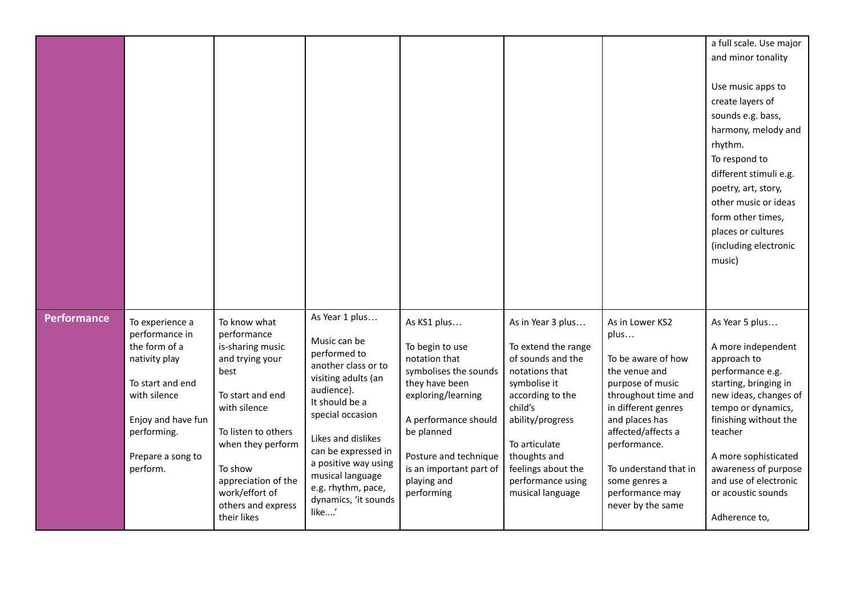|             |                                                                                                                                                                               |                                                                                                                                                                                                                                                     |                                                                                                                                                                                                                                                                                                  |                                                                                                                                                                                                                                         |                                                                                                                                                                                                                                                    |                                                                                                                                                                                                                                                                            | a full scale. Use major<br>and minor tonality<br>Use music apps to<br>create layers of<br>sounds e.g. bass,<br>harmony, melody and<br>rhythm.<br>To respond to<br>different stimuli e.g.<br>poetry, art, story,<br>other music or ideas<br>form other times,<br>places or cultures<br>(including electronic<br>music) |
|-------------|-------------------------------------------------------------------------------------------------------------------------------------------------------------------------------|-----------------------------------------------------------------------------------------------------------------------------------------------------------------------------------------------------------------------------------------------------|--------------------------------------------------------------------------------------------------------------------------------------------------------------------------------------------------------------------------------------------------------------------------------------------------|-----------------------------------------------------------------------------------------------------------------------------------------------------------------------------------------------------------------------------------------|----------------------------------------------------------------------------------------------------------------------------------------------------------------------------------------------------------------------------------------------------|----------------------------------------------------------------------------------------------------------------------------------------------------------------------------------------------------------------------------------------------------------------------------|-----------------------------------------------------------------------------------------------------------------------------------------------------------------------------------------------------------------------------------------------------------------------------------------------------------------------|
| Performance | To experience a<br>performance in<br>the form of a<br>nativity play<br>To start and end<br>with silence<br>Enjoy and have fun<br>performing.<br>Prepare a song to<br>perform. | To know what<br>performance<br>is-sharing music<br>and trying your<br>best<br>To start and end<br>with silence<br>To listen to others<br>when they perform<br>To show<br>appreciation of the<br>work/effort of<br>others and express<br>their likes | As Year 1 plus<br>Music can be<br>performed to<br>another class or to<br>visiting adults (an<br>audience).<br>It should be a<br>special occasion<br>Likes and dislikes<br>can be expressed in<br>a positive way using<br>musical language<br>e.g. rhythm, pace,<br>dynamics, 'it sounds<br>like' | As KS1 plus<br>To begin to use<br>notation that<br>symbolises the sounds<br>they have been<br>exploring/learning<br>A performance should<br>be planned<br>Posture and technique<br>is an important part of<br>playing and<br>performing | As in Year 3 plus<br>To extend the range<br>of sounds and the<br>notations that<br>symbolise it<br>according to the<br>child's<br>ability/progress<br>To articulate<br>thoughts and<br>feelings about the<br>performance using<br>musical language | As in Lower KS2<br>plus<br>To be aware of how<br>the venue and<br>purpose of music<br>throughout time and<br>in different genres<br>and places has<br>affected/affects a<br>performance.<br>To understand that in<br>some genres a<br>performance may<br>never by the same | As Year 5 plus<br>A more independent<br>approach to<br>performance e.g.<br>starting, bringing in<br>new ideas, changes of<br>tempo or dynamics,<br>finishing without the<br>teacher<br>A more sophisticated<br>awareness of purpose<br>and use of electronic<br>or acoustic sounds<br>Adherence to,                   |